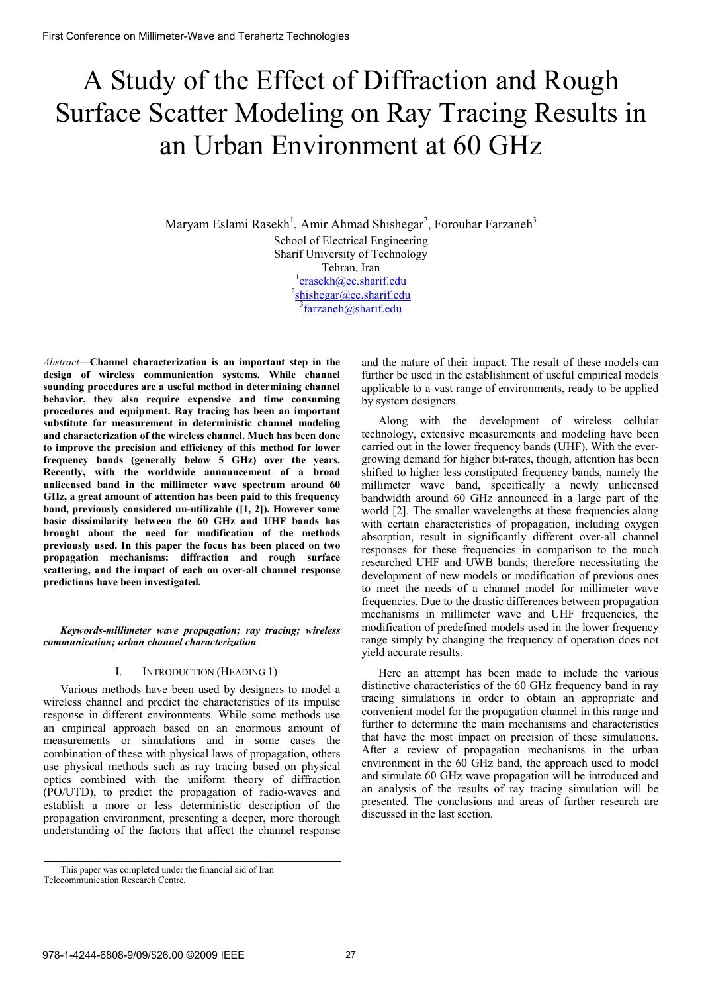# A Study of the Effect of Diffraction and Rough Surface Scatter Modeling on Ray Tracing Results in an Urban Environment at 60 GHz

Maryam Eslami Rasekh<sup>1</sup>, Amir Ahmad Shishegar<sup>2</sup>, Forouhar Farzaneh<sup>3</sup> School of Electrical Engineering Sharif University of Technology Tehran, Iran  $\frac{1}{2}$ erasekh@ee.sharif.edu 2 shishegar@ee.sharif.edu <sup>3</sup>farzaneh@sharif.edu

*Abstract***—Channel characterization is an important step in the design of wireless communication systems. While channel sounding procedures are a useful method in determining channel behavior, they also require expensive and time consuming procedures and equipment. Ray tracing has been an important substitute for measurement in deterministic channel modeling and characterization of the wireless channel. Much has been done to improve the precision and efficiency of this method for lower frequency bands (generally below 5 GHz) over the years. Recently, with the worldwide announcement of a broad unlicensed band in the millimeter wave spectrum around 60 GHz, a great amount of attention has been paid to this frequency band, previously considered un-utilizable ([1, 2]). However some basic dissimilarity between the 60 GHz and UHF bands has brought about the need for modification of the methods previously used. In this paper the focus has been placed on two propagation mechanisms: diffraction and rough surface scattering, and the impact of each on over-all channel response predictions have been investigated.** 

## *Keywords-millimeter wave propagation; ray tracing; wireless communication; urban channel characterization*

## I. INTRODUCTION (HEADING 1)

Various methods have been used by designers to model a wireless channel and predict the characteristics of its impulse response in different environments. While some methods use an empirical approach based on an enormous amount of measurements or simulations and in some cases the combination of these with physical laws of propagation, others use physical methods such as ray tracing based on physical optics combined with the uniform theory of diffraction (PO/UTD), to predict the propagation of radio-waves and establish a more or less deterministic description of the propagation environment, presenting a deeper, more thorough understanding of the factors that affect the channel response

and the nature of their impact. The result of these models can further be used in the establishment of useful empirical models applicable to a vast range of environments, ready to be applied by system designers.

Along with the development of wireless cellular technology, extensive measurements and modeling have been carried out in the lower frequency bands (UHF). With the evergrowing demand for higher bit-rates, though, attention has been shifted to higher less constipated frequency bands, namely the millimeter wave band, specifically a newly unlicensed bandwidth around 60 GHz announced in a large part of the world [2]. The smaller wavelengths at these frequencies along with certain characteristics of propagation, including oxygen absorption, result in significantly different over-all channel responses for these frequencies in comparison to the much researched UHF and UWB bands; therefore necessitating the development of new models or modification of previous ones to meet the needs of a channel model for millimeter wave frequencies. Due to the drastic differences between propagation mechanisms in millimeter wave and UHF frequencies, the modification of predefined models used in the lower frequency range simply by changing the frequency of operation does not yield accurate results.

Here an attempt has been made to include the various distinctive characteristics of the 60 GHz frequency band in ray tracing simulations in order to obtain an appropriate and convenient model for the propagation channel in this range and further to determine the main mechanisms and characteristics that have the most impact on precision of these simulations. After a review of propagation mechanisms in the urban environment in the 60 GHz band, the approach used to model and simulate 60 GHz wave propagation will be introduced and an analysis of the results of ray tracing simulation will be presented. The conclusions and areas of further research are discussed in the last section.

This paper was completed under the financial aid of Iran Telecommunication Research Centre.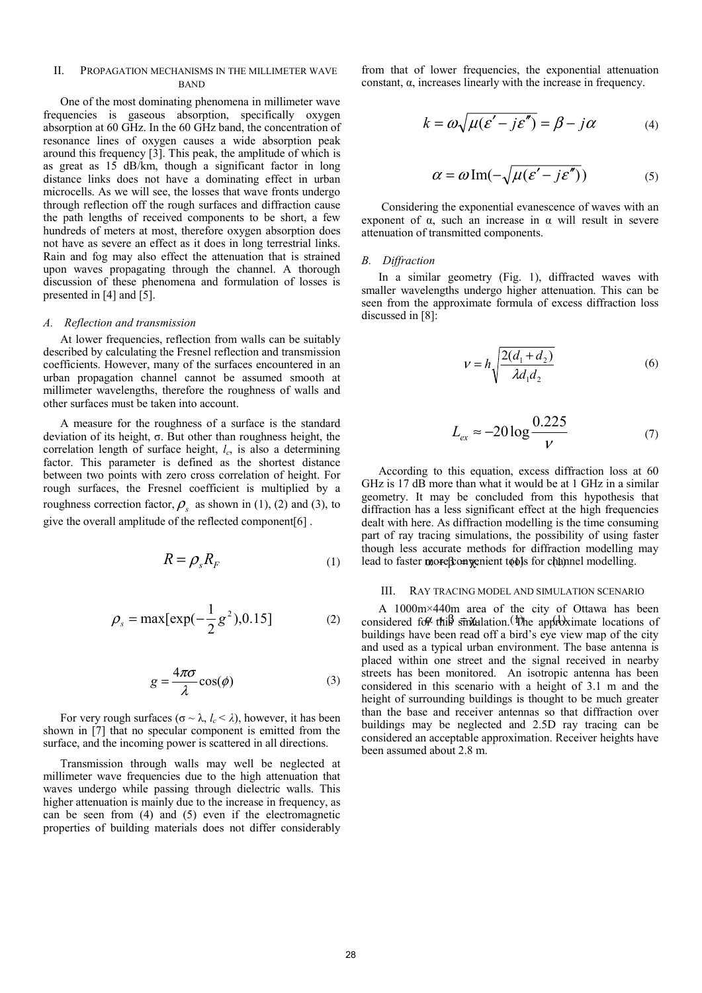## II. PROPAGATION MECHANISMS IN THE MILLIMETER WAVE **BAND**

One of the most dominating phenomena in millimeter wave frequencies is gaseous absorption, specifically oxygen absorption at 60 GHz. In the 60 GHz band, the concentration of resonance lines of oxygen causes a wide absorption peak around this frequency [3]. This peak, the amplitude of which is as great as 15 dB/km, though a significant factor in long distance links does not have a dominating effect in urban microcells. As we will see, the losses that wave fronts undergo through reflection off the rough surfaces and diffraction cause the path lengths of received components to be short, a few hundreds of meters at most, therefore oxygen absorption does not have as severe an effect as it does in long terrestrial links. Rain and fog may also effect the attenuation that is strained upon waves propagating through the channel. A thorough discussion of these phenomena and formulation of losses is presented in [4] and [5].

#### *A. Reflection and transmission*

At lower frequencies, reflection from walls can be suitably described by calculating the Fresnel reflection and transmission coefficients. However, many of the surfaces encountered in an urban propagation channel cannot be assumed smooth at millimeter wavelengths, therefore the roughness of walls and other surfaces must be taken into account.

A measure for the roughness of a surface is the standard deviation of its height, σ. But other than roughness height, the correlation length of surface height, *lc*, is also a determining factor. This parameter is defined as the shortest distance between two points with zero cross correlation of height. For rough surfaces, the Fresnel coefficient is multiplied by a roughness correction factor,  $\rho_s$  as shown in (1), (2) and (3), to give the overall amplitude of the reflected component[6] .

$$
R = \rho_s R_F \tag{1}
$$

$$
\rho_s = \max[\exp(-\frac{1}{2}g^2), 0.15] \tag{2}
$$

$$
g = \frac{4\pi\sigma}{\lambda}\cos(\phi) \tag{3}
$$

For very rough surfaces ( $\sigma \sim \lambda$ ,  $l_c \leq \lambda$ ), however, it has been shown in [7] that no specular component is emitted from the surface, and the incoming power is scattered in all directions.

Transmission through walls may well be neglected at millimeter wave frequencies due to the high attenuation that waves undergo while passing through dielectric walls. This higher attenuation is mainly due to the increase in frequency, as can be seen from (4) and (5) even if the electromagnetic properties of building materials does not differ considerably from that of lower frequencies, the exponential attenuation constant, α, increases linearly with the increase in frequency.

$$
k = \omega \sqrt{\mu(\varepsilon' - j\varepsilon'')} = \beta - j\alpha \tag{4}
$$

$$
\alpha = \omega \operatorname{Im}(-\sqrt{\mu(\varepsilon' - j\varepsilon'')})
$$
 (5)

 Considering the exponential evanescence of waves with an exponent of  $\alpha$ , such an increase in  $\alpha$  will result in severe attenuation of transmitted components.

#### *B. Diffraction*

In a similar geometry (Fig. 1), diffracted waves with smaller wavelengths undergo higher attenuation. This can be seen from the approximate formula of excess diffraction loss discussed in [8]:

$$
v = h \sqrt{\frac{2(d_1 + d_2)}{\lambda d_1 d_2}}\tag{6}
$$

$$
L_{ex} \approx -20\log\frac{0.225}{V} \tag{7}
$$

 $R = \rho_s R_F$  (1) lead to faster more component to the faster in and the second  $R = \rho_s R_F$ According to this equation, excess diffraction loss at 60 GHz is 17 dB more than what it would be at 1 GHz in a similar geometry. It may be concluded from this hypothesis that diffraction has a less significant effect at the high frequencies dealt with here. As diffraction modelling is the time consuming part of ray tracing simulations, the possibility of using faster though less accurate methods for diffraction modelling may

#### III. RAY TRACING MODEL AND SIMULATION SCENARIO

 $\rho_s = \max[\exp(-\frac{1}{2}g^2), 0.15]$  (2) A 1000m×440m area of the city of Ottawa has been<br>considered for this strivulation. (The approximate locations of A 1000m×440m area of the city of Ottawa has been buildings have been read off a bird's eye view map of the city and used as a typical urban environment. The base antenna is placed within one street and the signal received in nearby streets has been monitored. An isotropic antenna has been considered in this scenario with a height of 3.1 m and the height of surrounding buildings is thought to be much greater than the base and receiver antennas so that diffraction over buildings may be neglected and 2.5D ray tracing can be considered an acceptable approximation. Receiver heights have been assumed about 2.8 m.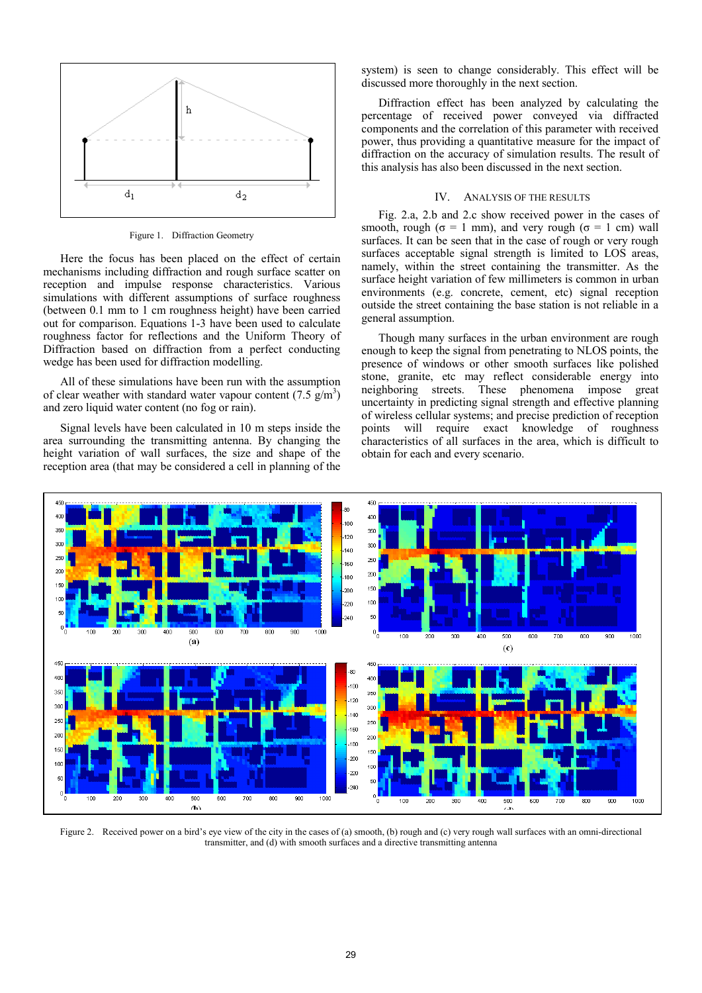

Figure 1. Diffraction Geometry

Here the focus has been placed on the effect of certain mechanisms including diffraction and rough surface scatter on reception and impulse response characteristics. Various simulations with different assumptions of surface roughness (between 0.1 mm to 1 cm roughness height) have been carried out for comparison. Equations 1-3 have been used to calculate roughness factor for reflections and the Uniform Theory of Diffraction based on diffraction from a perfect conducting wedge has been used for diffraction modelling.

All of these simulations have been run with the assumption of clear weather with standard water vapour content  $(7.5 \text{ g/m}^3)$ and zero liquid water content (no fog or rain).

Signal levels have been calculated in 10 m steps inside the area surrounding the transmitting antenna. By changing the height variation of wall surfaces, the size and shape of the reception area (that may be considered a cell in planning of the system) is seen to change considerably. This effect will be discussed more thoroughly in the next section.

Diffraction effect has been analyzed by calculating the percentage of received power conveyed via diffracted components and the correlation of this parameter with received power, thus providing a quantitative measure for the impact of diffraction on the accuracy of simulation results. The result of this analysis has also been discussed in the next section.

## IV. ANALYSIS OF THE RESULTS

Fig. 2.a, 2.b and 2.c show received power in the cases of smooth, rough ( $\sigma = 1$  mm), and very rough ( $\sigma = 1$  cm) wall surfaces. It can be seen that in the case of rough or very rough surfaces acceptable signal strength is limited to LOS areas, namely, within the street containing the transmitter. As the surface height variation of few millimeters is common in urban environments (e.g. concrete, cement, etc) signal reception outside the street containing the base station is not reliable in a general assumption.

Though many surfaces in the urban environment are rough enough to keep the signal from penetrating to NLOS points, the presence of windows or other smooth surfaces like polished stone, granite, etc may reflect considerable energy into neighboring streets. These phenomena impose great uncertainty in predicting signal strength and effective planning of wireless cellular systems; and precise prediction of reception points will require exact knowledge of roughness characteristics of all surfaces in the area, which is difficult to obtain for each and every scenario.



Figure 2. Received power on a bird's eve view of the city in the cases of (a) smooth, (b) rough and (c) very rough wall surfaces with an omni-directional transmitter, and (d) with smooth surfaces and a directive transmitting antenna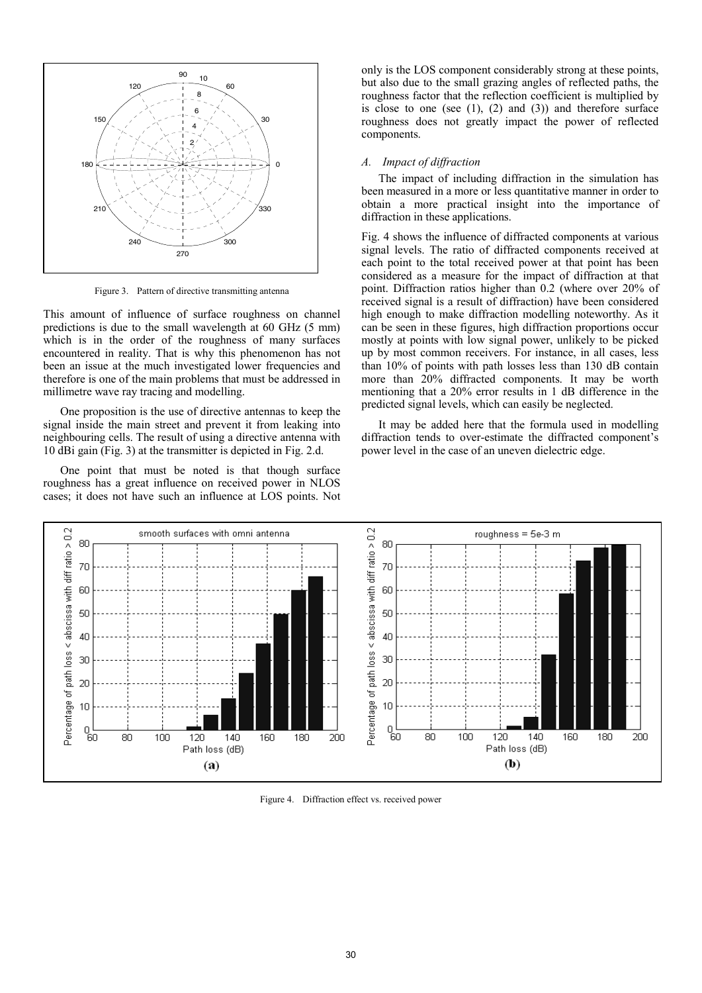

Figure 3. Pattern of directive transmitting antenna

This amount of influence of surface roughness on channel predictions is due to the small wavelength at 60 GHz (5 mm) which is in the order of the roughness of many surfaces encountered in reality. That is why this phenomenon has not been an issue at the much investigated lower frequencies and therefore is one of the main problems that must be addressed in millimetre wave ray tracing and modelling.

One proposition is the use of directive antennas to keep the signal inside the main street and prevent it from leaking into neighbouring cells. The result of using a directive antenna with 10 dBi gain (Fig. 3) at the transmitter is depicted in Fig. 2.d.

One point that must be noted is that though surface roughness has a great influence on received power in NLOS cases; it does not have such an influence at LOS points. Not

only is the LOS component considerably strong at these points, but also due to the small grazing angles of reflected paths, the roughness factor that the reflection coefficient is multiplied by is close to one (see  $(1)$ ,  $(2)$  and  $(3)$ ) and therefore surface roughness does not greatly impact the power of reflected components.

## *A. Impact of diffraction*

The impact of including diffraction in the simulation has been measured in a more or less quantitative manner in order to obtain a more practical insight into the importance of diffraction in these applications.

Fig. 4 shows the influence of diffracted components at various signal levels. The ratio of diffracted components received at each point to the total received power at that point has been considered as a measure for the impact of diffraction at that point. Diffraction ratios higher than 0.2 (where over 20% of received signal is a result of diffraction) have been considered high enough to make diffraction modelling noteworthy. As it can be seen in these figures, high diffraction proportions occur mostly at points with low signal power, unlikely to be picked up by most common receivers. For instance, in all cases, less than 10% of points with path losses less than 130 dB contain more than 20% diffracted components. It may be worth mentioning that a 20% error results in 1 dB difference in the predicted signal levels, which can easily be neglected.

It may be added here that the formula used in modelling diffraction tends to over-estimate the diffracted component's power level in the case of an uneven dielectric edge.



Figure 4. Diffraction effect vs. received power